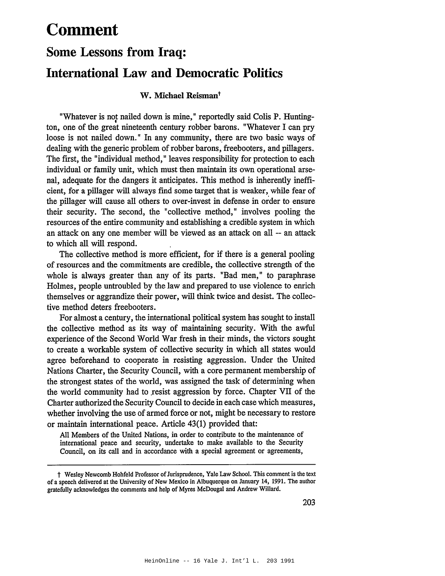# **Comment**

# **Some Lessons from Iraq: International Law and Democratic Politics**

# W. Michael Reisman<sup>t</sup>

"Whatever is not nailed down is mine," reportedly said Colis P. Hunting-<br>ton, one of the great nineteenth century robber barons. "Whatever I can pry loose is not nailed down." In any community, there are two basic ways of dealing with the generic problem of robber barons, freebooters, and pillagers. The first, the "individual method," leaves responsibility for protection to each individual or family unit, which must then maintain its own operational arsenal, adequate for the dangers it anticipates. This method is inherently inefficient, for a pillager will always fInd some target that is weaker, while fear of the pillager will cause all others to over-invest in defense in order to ensure their security. The second, the "collective method," involves pooling the resources of the entire community and establishing a credible system in which an attack on anyone member will be viewed as an attack on all -- an attack to which all will respond.

The collective method is more efficient, for if there is a general pooling of resources and the commitments are credible, the collective strength of the whole is always greater than any of its parts. "Bad men," to paraphrase Holmes, people untroubled by the law and prepared to use violence to enrich themselves or aggrandize their power, will think twice and desist. The collective method deters freebooters.

For almost a century, the international political system has sought to install the collective method as its way of maintaining security. With the awful experience of the Second World War fresh in their minds, the victors sought to create a workable system of collective security in which all states would agree beforehand to cooperate in resisting aggression. Under the United Nations Charter, the Security Council, with a core permanent membership of the strongest states of the world, was assigned the task of determining when the world community had to resist aggression by force. Chapter VII of the Charter authorized the Security Council to decide in each case which measures, whether involving the use of armed force or not, might be necessary to restore or maintain international peace. Article 43(1) provided that:

All Members of the United Nations, in order to contribute to the maintenance of international peace and security, undertake to make available to the Security Council, on its call and in accordance with a special agreement or agreements,

<sup>&</sup>lt;sup>†</sup> Wesley Newcomb Hohfeld Professor of Jurisprudence, Yale Law School. This comment is the text of a speech delivered at the University of New Mexico in Albuquerque on January 14, 1991. The author gratefully acknowledges the comments and help of Myres McDougal and Andrew Willard.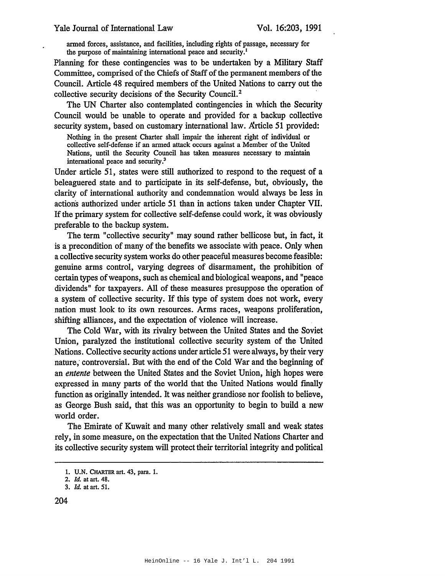armed forces, assistance, and facilities, including rights of passage, necessary for the purpose of maintaining international peace and security.<sup>1</sup>

Planning for these contingencies was to be undertaken by a Military Staff Committee, comprised of the Chiefs of Staff of the permanent members of the Council. Article 48 required members of the United Nations to carry out the collective security decisions of the Security Council.2

The UN Charter also contemplated contingencies in which the Security Council would be unable to operate and provided for a backup collective security system, based on customary international law. Article 51 provided:

Nothing in the present Charter shall impair the inherent right of individual or collective self-defense if an armed attack occurs against a Member of the United Nations, until the Security Council has taken measures necessary to maintain international peace and security.3

Under article 51, states were still authorized to respond to the request of a beleaguered state and to participate in its self-defense, but, obviously, the clarity of international authority and condemnation would always be less in actions authorized under article 51 than in actions taken under Chapter VII. If the primary system for collective self-defense could work, it was obviously preferable to the backup system.

The term "collective security" may sound rather bellicose but, in fact, it is a precondition of many of the benefits we associate with peace. Only when a collective security system works do other peaceful measures become feasible: genuine arms control, varying degrees of disarmament, the prohibition of certain types ofweapons, such as chemical and biological weapons, and "peace dividends" for taxpayers. All of these measures presuppose the operation of a system of collective security. If this type of system does not work, every nation must look to its own resources. Arms races, weapons proliferation, shifting alliances, and the expectation of violence will increase.

The Cold War, with its rivalry between the United States and the Soviet Union, paralyzed the institutional collective security system of the United Nations. Collective security actions under article 51 were always, by their very nature; controversial. But with the end of the Cold War and the beginning of an *entente* between the United States and the Soviet Union, high hopes were expressed in many parts of the world that the United Nations would finally function as originally intended. It was neither grandiose nor foolish to believe, as George Bush said, that this was an opportunity to begin to build a new world order.

The Emirate of Kuwait and many other relatively small and weak states rely, in some measure, on the expectation that the United Nations Charter and its collective security system will protect their territorial integrity and political

204

<sup>1.</sup> U.N. CHARTER art. 43, para. 1.

*<sup>2.</sup> ld.* at art. 48.

*<sup>3.</sup> ld.* at art. 51.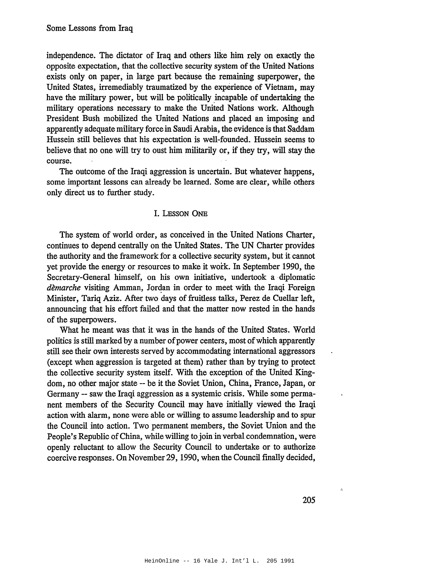independence. The dictator of Iraq and others like him rely on exactly the opposite expectation, that the collective security system of the United Nations exists only on paper, in large part because the remaining superpower, the United States, irremediably traumatized by the experience of Vietnam, may have the military power, but will be politically incapable of undertaking the military operations necessary to make the United Nations work. Although President Bush mobilized the United Nations and placed an imposing and apparently adequate military force in SaudiArabia, the evidence is that Saddam Hussein still believes that his expectation is well-founded. Hussein seems to believe that no one will try to oust him militarily or, if they try, will stay the course.

The outcome of the Iraqi aggression is uncertain. But whatever happens, some important lessons can already be learned. Some are clear, while others only direct us to further study.

#### I. LESSON ONE

The system of world order, as conceived in the United Nations Charter, continues to depend centrally on the United States. The UN Charter provides the authority and the framework for a collective security system, but it cannot yet provide the energy or resources to make it work. In September 1990, the Secretary-General himself, on his own initiative, undertook a diplomatic *dèmarche* visiting Amman, Jordan in order to meet with the Iraqi Foreign Minister, Tariq Aziz. After two days of fruitless talks, Perez de Cuellar left, announcing that his effort failed and that the matter now rested in the hands of the superpowers.

What he meant was that it was in the hands of the United States. World politics is still marked by a number of power centers, most of which apparently still see their own interests served by accommodating international aggressors (except when aggression is targeted at them) rather than by trying to protect the collective security system itself. With the exception of the United Kingdom, no other major state -- be it the Soviet Union, China, France, Japan, or Germany -- saw the Iraqi aggression as a systemic crisis. While some permanent members of the Security Council may have initially viewed the Iraqi action with alarm, none were able or willing to assume leadership and to spur the Council into action. Two permanent members, the Soviet Union and the People's Republic of China, while willing to join in verbal condemnation, were openly reluctant to allow the Security Council to undertake or to authorize coercive responses. On November 29, 1990, when the Council finally decided,

 $\hat{\boldsymbol{\alpha}}$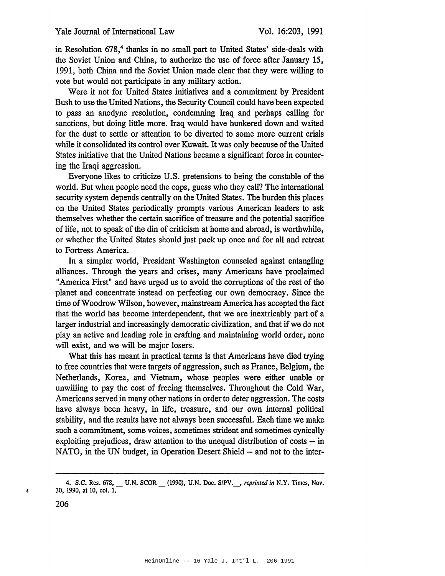in Resolution 678,<sup>4</sup> thanks in no small part to United States' side-deals with the Soviet Union and China, to authorize the use of force after January 15, 1991, both China and the Soviet Union made clear that they were willing to vote but would not participate in any military action.

Were it not for United States initiatives and a commitment by President Bush to use the United Nations, the Security Council could have been expected to pass an anodyne resolution, condemning Iraq and perhaps calling for sanctions, but doing little more. Iraq would have hunkered down and waited for the dust to settle or attention to be diverted to some more current crisis while it consolidated its control over Kuwait. It was only because of the United States initiative that the United Nations became a significant force in countering the Iraqi aggression.

Everyone likes to criticize U.S. pretensions to being the constable of the world. But when people need the cops, guess who they call? The international security system depends centrally on the United States. The burden this places on the United States periodically prompts various American leaders to ask themselves whether the certain sacrifice of treasure and the potential sacrifice of life, not to speak of the din of criticism at home and abroad, is worthwhile, or whether the United States should just pack up once and for all and retreat to Fortress America.

In a simpler world, President Washington counseled against entangling alliances. Through the years and crises, many Americans have proclaimed "America First" and have urged us to avoid the corruptions of the rest of the planet and concentrate instead on perfecting our own democracy. Since the time of Woodrow Wilson, however, mainstream America has accepted the fact that the world has become interdependent, that we are inextricably part of a larger industrial and increasingly democratic civilization, and that if we do not play an active and leading role in crafting and maintaining world order, none will exist, and we will be major losers.

What this has meant in practical terms is that Americans have died trying to free countries that were targets of aggression, such as France, Belgium, the Netherlands, Korea, and Vietnam, whose peoples were either unable or unwilling to pay the cost of freeing themselves. Throughout the Cold War, Americans served in many other nations in order to deter aggression. The costs have always been heavy, in life, treasure, and our own internal political stability, and the results have not always been successful. Each time we make such a commitment, some voices, sometimes strident and sometimes cynically exploiting prejudices, draw attention to the unequal distribution of costs -- in NATO, in the UN budget, in Operation Desert Shield -- and not to the inter-

 $\overline{a}$ 

<sup>4.</sup> S.C. Res. 678, U.N. SCOR (1990), U.N. Doc. S/PV., reprinted in N.Y. Times, Nov. 30, 1990, at 10, col. 1.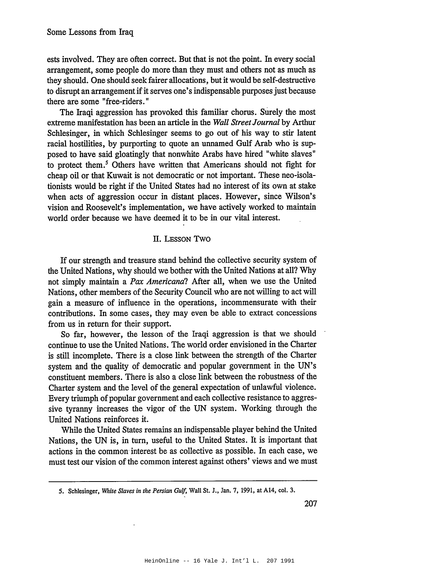ests involved. They are often correct. But that is not the point. In every social arrangement, some people do more than they must and others not as much as they should. One should seek fairer allocations, but it would be self-destructive to disrupt an arrangement if it serves one's indispensable purposes just because there are some "free-riders."

The Iraqi aggression has provoked this familiar chorus. Surely the most extreme manifestation has been an article in the Wall Street Journal by Arthur Schlesinger, in which Schlesinger seems to go out of his way to stir latent racial hostilities, by purporting to quote an unnamed Gulf Arab who is supposed to have said gloatingly that nonwhite Arabs have hired "white slaves" to protect them.<sup>5</sup> Others have written that Americans should not fight for cheap oil or that Kuwait is not democratic or not important. These neo-isolationists would be right if the United States had no interest of its own at stake when acts of aggression occur in distant places. However, since Wilson's vision and Roosevelt's implementation, we have actively worked to maintain world order because we have deemed it to be in our vital interest.

### II. LESSON TWO

If our strength and treasure stand behind the collective security system of the United Nations, why should we bother with the United Nations at all? Why not simply maintain a Pax Americana? After all, when we use the United Nations, other members of the Security Council who are not willing to act will gain a measure of influence in the operations, incommensurate with their contributions. In some cases, they may even be able to extract concessions from us in return for their support.

So far, however, the lesson of the Iraqi aggression is that we should continue to use the United Nations. The world order envisioned in the Charter is still incomplete. There is a close link between the strength of the Charter system and the quality of democratic and popular government in the UN's constituent members. There is also a close link between the robustness of the Charter system and the level of the general expectation of unlawful violence. Every triumph of popular government and each collective resistance to aggressive tyranny increases the vigor of the UN system. Working through the United Nations reinforces it.

While the United States remains an indispensable player behind the United Nations, the UN is, in turn, useful to the United States. It is important that actions in the common interest be as collective as possible. In each case, we must test our vision of the common interest against others' views and we must

<sup>5.</sup> Schlesinger, White Slaves in the Persian Gulf, Wall St. J., Jan. 7, 1991, at A14, col. 3.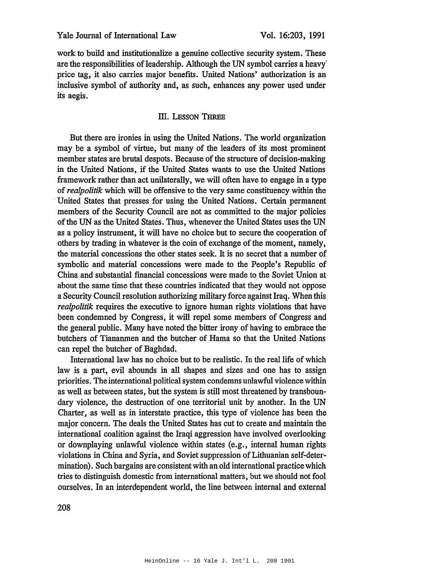work to build and institutionalize a genuine collective security system. These are the responsibilities of leadership. Although the UN symbol carries a heavy price tag, it also carries major benefits. United Nations' authorization is an inclusive symbol of authority and, as such, enhances any power used under its aegis.

# III. LESSON THREE

But there are ironies in using the United Nations. The world organization may be a symbol of virtue, but many of the leaders of its most prominent member states are brutal despots. Because of the structure of decision-making in the United Nations, if the United States wants to use the United Nations framework rather than act unilaterally, we will often have to engage in a type of *realpolitik* which will be offensive to the very same constituency within the United States that presses for using the United Nations. Certain permanent members of the Security Council are not as committed to the major policies of the UN as the United States. Thus, whenever the United States uses the UN as a policy instrument, it will have no choice but to secure the cooperation of others by trading in whatever is the coin of exchange of the moment, namely, the material concessions the other states seek. It is no secret that a number of symbolic and material concessions were made to the People's Republic of China and substantial financial concessions were made to the Soviet Union at about the same time that these countries indicated that they would not oppose a Security Council resolution authorizing military force against Iraq. When this *realpolitik* requires the executive to ignore human rights violations that have been condemned by Congress, it will repel some members of Congress and the general public. Many have noted the bitter irony of having to embrace the butchers of Tiananmen and the butcher of Hama so that the United Nations can repel the butcher of Baghdad.

International law has no choice but to be realistic. In the real life of which law is a part, evil abounds in all shapes and sizes and one has to assign priorities. The international political system condemns unlawful violence within as well as between states, but the system is still most threatened by transboundary violence, the destruction of one territorial unit by another. In the UN Charter, as well as in interstate practice, this type of violence has been the major concern. The deals the United States has cut to create and maintain the international coalition against the Iraqi aggression have involved overlooking or downplaying unlawful violence within states (e.g., internal human rights violations in China and Syria, and Soviet suppression of Lithuanian self-determination). Such bargains are consistent with an old international practice which tries to distinguish domestic from international matters, but we should not fool ourselves. In an interdependent world, the line between internal and external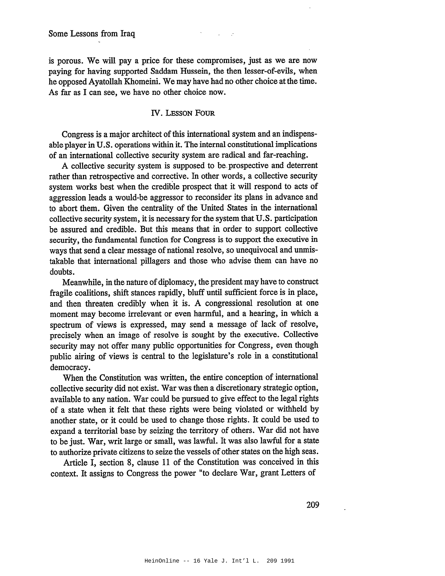is porous. We will pay a price for these compromises, just as we are now paying for having supported Saddam Hussein, the then lesser-of-evils, when he opposed Ayatollah Khomeini. We may have had no other choice at the time. As far as I can see, we have no other choice now.

## **IV. LESSON FOUR**

Congress is a major architect of this international system and an indispensable player in U.S. operations within it. The internal constitutional implications of an international collective security system are radical and far-reaching.

A collective security system is supposed to be prospective and deterrent rather than retrospective and corrective. In other words, a collective security system works best when the credible prospect that it will respond to acts of aggression leads a would-be aggressor to reconsider its plans in advance and to abort them. Given the centrality of the United States in the international collective security system, it is necessary for the system that U.S. participation be assured and credible. But this means that in order to support collective security, the fundamental function for Congress is to support the executive in ways that send a clear message of national resolve, so unequivocal and unmistakable that international pillagers and those who advise them can have no doubts.

Meanwhile, in the nature of diplomacy, the president may have to construct fragile coalitions, shift stances rapidly, bluff until sufficient force is in place, and then threaten credibly when it is. A congressional resolution at one moment may become irrelevant or even harmful, and a hearing, in which a spectrum of views is expressed, may send a message of lack of resolve, precisely when an image of resolve is sought by the executive. Collective security may not offer many public opportunities for Congress, even though public airing of views is central to the legislature's role in a constitutional democracy.

When the Constitution was written, the entire conception of international collective security did not exist. War was then a discretionary strategic option, available to any nation. War could be pursued to give effect to the legal rights of a state when it felt that these rights were being violated or withheld by another state, or it could be used to change those rights. It could be used to expand a territorial base by seizing the territory of others. War did not have to be just. War, writ large or small, was lawful. It was also lawful for a state to authorize private citizens to seize the vessels of other states on the high seas.

Article I, section 8, clause 11 of the Constitution was conceived in this context. It assigns to Congress the power "to declare War, grant Letters of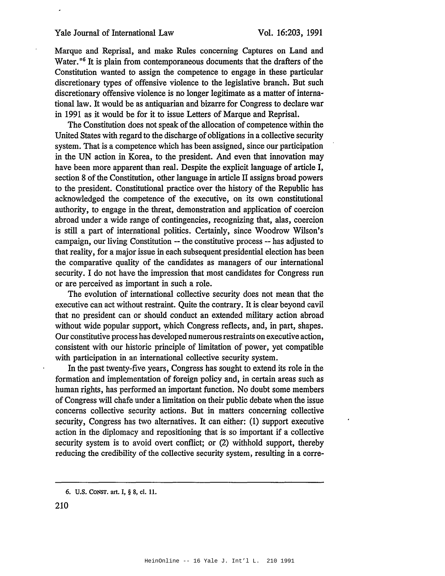#### Yale Journal of International Law

Marque and Reprisal, and make Rules concerning Captures on Land and Water.<sup>"6</sup> It is plain from contemporaneous documents that the drafters of the Constitution wanted to assign the competence to engage in these particular discretionary types of offensive violence to the legislative branch. But such discretionary offensive violence is no longer legitimate as a matter of international law. It would be as antiquarian and bizarre for Congress to declare war in 1991 as it would be for it to issue Letters of Marque and Reprisal.

The Constitution does not speak of the allocation of competence within the United States with regard to the discharge of obligations in a collective security system. That is a competence which has been assigned, since our participation in the UN action in Korea, to the president. And even that innovation may have been more apparent than real. Despite the explicit language of article I, section 8 of the Constitution, other language in article II assigns broad powers to the president. Constitutional practice over the history of the Republic has acknowledged the competence of the executive, on its own constitutional authority, to engage in the threat, demonstration and application of coercion abroad under a wide range of contingencies, recognizing that, alas, coercion is still a part of international politics. Certainly, since Woodrow Wilson's campaign, our living Constitution -- the constitutive process -- has adjusted to that reality, for a major issue in each subsequent presidential election has been the comparative quality of the candidates as managers of our international security. I do not have the impression that most candidates for Congress run or are perceived as important in such a role.

The evolution of international collective security does not mean that the executive can act without restraint. Quite the contrary. It is clear beyond cavil that no president can or should conduct an extended military action abroad without wide popular support, which Congress reflects, and, in part, shapes. Our constitutive process has developed numerous restraints on executive action, consistent with our historic principle of limitation of power, yet compatible with participation in an international collective security system.

In the past twenty-five years, Congress has sought to extend its role in the formation and implementation of foreign policy and, in certain areas such as human rights, has performed an important function. No doubt some members of Congress will chafe under a limitation on their public debate when the issue concerns collective security actions. But in matters concerning collective security, Congress has two alternatives. It can either: (1) support executive action in the diplomacy and repositioning that is so important if a collective security system is to avoid overt conflict; or (2) withhold support, thereby reducing the credibility of the collective security system, resulting in a corre-

<sup>6.</sup> U.S. CONST. art. I, § 8, cl. 11.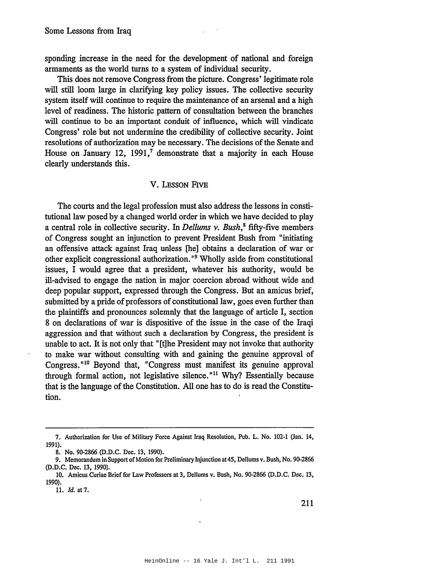sponding increase in the need for the development of national and foreign armaments as the world turns to a system of individual security.

This does not remove Congress from the picture. Congress' legitimate role will still loom large in clarifying key policy issues. The collective security system itself will continue to require the maintenance of an arsenal and a high level of readiness. The historic pattern of consultation between the branches will continue to be an important conduit of influence, which will vindicate Congress' role but not undermine the credibility of collective security. Joint resolutions of authorization may be necessary. The decisions of the Senate and House on January 12, 1991,<sup>7</sup> demonstrate that a majority in each House clearly understands this.

#### V. LESSON FIVE

The courts and the legal profession must also address the lessons in constitutional law posed by a changed world order in which we have decided to play a central role in collective security. In Dellums  $v$ . Bush,<sup>8</sup> fifty-five members of Congress sought an injunction to prevent President Bush from "initiating" an offensive attack against Iraq unless [he] obtains a declaration of war or other explicit congressional authorization."<sup>9</sup> Wholly aside from constitutional issues, I would agree that a president, whatever his authority, would be ill-advised to engage the nation in major coercion abroad without wide and deep popular support, expressed through the Congress. But an amicus brief, submitted by a pride of professors of constitutional law, goes even further than the plaintiffs and pronounces solemnly that the language of article I, section 8 on declarations of war is dispositive of the issue in the case of the Iraqi aggression and that without such a declaration by Congress, the president is unable to act. It is not only that "[t] he President may not invoke that authority to make war without consulting with and gaining the genuine approval of Congress."<sup>10</sup> Beyond that, "Congress must manifest its genuine approval through formal action, not legislative silence."<sup>11</sup> Why? Essentially because that is the language of the Constitution. All one has to do is read the Constitution.

<sup>7.</sup> Authorization for Use of Military Force Against Iraq Resolution, Pub. L. No. 102-1 (Jan. 14, 1991).

<sup>8.</sup> No. 90-2866 (D.D.C. Dec. 13, 1990).

<sup>9.</sup> Memorandum in Support of Motion for Preliminary Injunction at 45, Dellums v. Bush, No. 90-2866 (D.D.C. Dec. 13, 1990).

<sup>10.</sup> Amicus Curiae Brief for Law Professors at 3, Dellums v. Bush, No. 90-2866 (D.D.C. Dec. 13, 1990).

<sup>11.</sup> Id. at 7.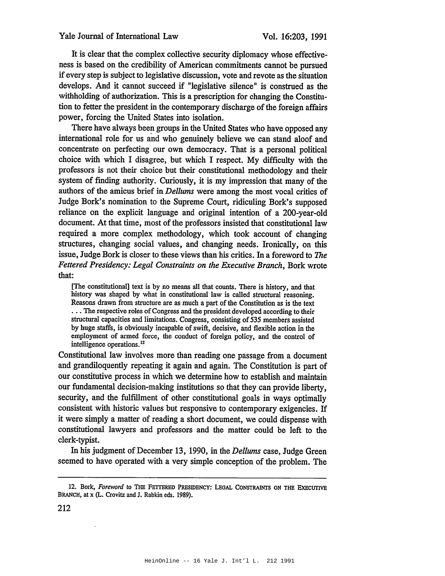It is clear that the complex collective security diplomacy whose effectiveness is based on the credibility of American commitments cannot be pursued if every step is subject to legislative discussion, vote and revote as the situation develops. And it cannot succeed if "legislative silence" is construed as the withholding of authorization. This is a prescription for changing the Constitution to fetter the president in the contemporary discharge of the foreign affairs power, forcing the United States into isolation.

There have always been groups in the United States who have opposed any international role for us and who genuinely believe we can stand aloof and concentrate on perfecting our own democracy. That is a personal political choice with which I disagree, but which I respect. My difficulty with the professors is not their choice but their constitutional methodology and their system of finding authority. Curiously, it is my impression that many of the authors of the amicus brief in *Dellums* were among the most vocal critics of Judge Bork's nomination to the Supreme Court, ridiculing Bork's supposed reliance on the explicit language and original intention of a 200-year-old document. At that time, most of the professors insisted that constitutional law required a more complex methodology, which took account of changing structures, changing social values, and changing needs. Ironically, on this issue, Judge Bork is closer to these views than his critics. In a foreword to The Fettered Presidency: Legal Constraints on the Executive Branch, Bork wrote that:

[The constitutional] text is by no means all that counts. There is history, and that history was shaped by what in constitutional law is called structural reasoning. Reasons drawn from structure are as much a part of the Constitution as is the text ... The respective roles of Congress and the president developed according to their structural capacities and limitations. Congress, consisting of 535 members assisted by huge staffs, is obviously incapable of swift, decisive, and flexible action in the employment of armed force, the conduct of foreign policy, and the control of intelligence operations.<sup>12</sup>

Constitutional law involves more than reading one passage from a document and grandiloquently repeating it again and again. The Constitution is part of our constitutive process in which we determine how to establish and maintain our fundamental decision-making institutions so that they can provide liberty, security, and the fulfillment of other constitutional goals in ways optimally consistent with historic values but responsive to contemporary exigencies. If it were simply a matter of reading a short document, we could dispense with constitutional lawyers and professors and the matter could be left to the clerk-typist.

In his judgment of December 13, 1990, in the Dellums case, Judge Green seemed to have operated with a very simple conception of the problem. The

<sup>12.</sup> Bork, Foreword to THE FETTERED PRESIDENCY: LEGAL CONSTRAINTS ON THE EXECUTIVE BRANCH, at x (L. Crovitz and J. Rabkin eds. 1989).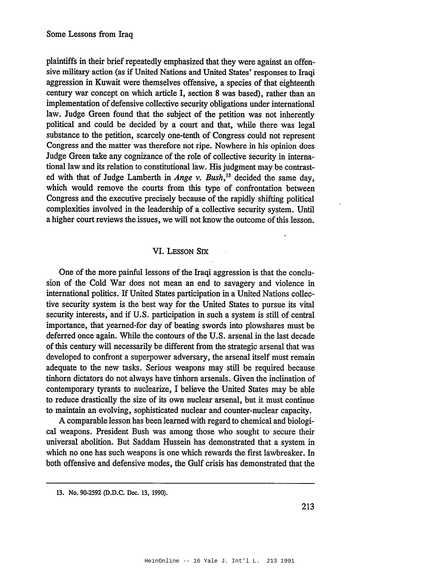plaintiffs in their brief repeatedly emphasized that they were against an offensive military action (as if United Nations and United States' responses to Iraqi aggression in Kuwait were themselves offensive, a species of that eighteenth century war concept on which article I, section 8 was based), rather than an implementation of defensive collective security obligations under international law. Judge Green found that the subject of the petition was not inherently political and could be decided by a court and that, while there was legal substance to the petition, scarcely one-tenth of Congress could not represent Congress and the matter was therefore not ripe. Nowhere in his opinion does Judge Green take any cognizance of the role of collective security in international law and its relation to constitutional law. His judgment may be contrasted with that of Judge Lamberth in Ange v. Bush,<sup>13</sup> decided the same day, which would remove the courts from this type of confrontation between Congress and the executive precisely because of the rapidly shifting political complexities involved in the leadership of a collective security system. Until a higher court reviews the issues, we will not know the outcome of this lesson.

## VI. LESSON SIX

One of the more painful lessons of the Iraqi aggression is that the conclusion of the Cold War does not mean an end to savagery and violence in international politics. If United States participation in a United Nations collective security system is the best way for the United States to pursue its vital security interests, and if U.S. participation in such a system is still of central importance, that yearned-for day of beating swords into plowshares must be deferred once again. While the contours of the U.S. arsenal in the last decade of this century will necessarily be different from the strategic arsenal that was developed to confront a superpower adversary, the arsenal itself must remain adequate to the new tasks. Serious weapons may still be required because tinhorn dictators do not always have tinhorn arsenals. Given the inclination of contemporary tyrants to nuclearize, I believe the United States may be able to reduce drastically the size of its own nuclear arsenal, but it must continue to maintain an evolving, sophisticated nuclear and counter-nuclear capacity.

A comparable lesson has been learned with regard to chemical and biological weapons. President Bush was among those who sought to secure their universal abolition. But Saddam Hussein has demonstrated that a system in which no one has such weapons is one which rewards the first lawbreaker. In both offensive and defensive modes, the Gulf crisis has demonstrated that the

<sup>13.</sup> No. 90-2592 (D.D.C. Dec. 13, 1990).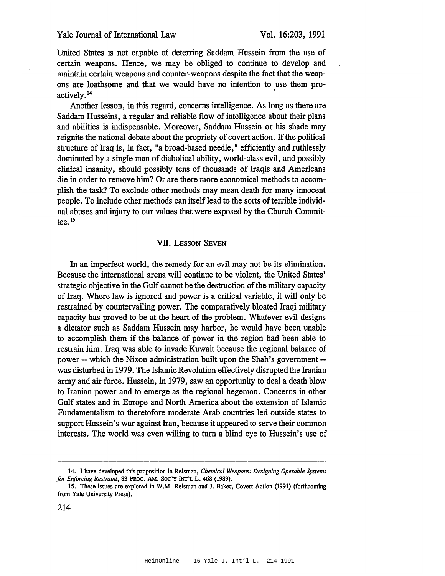United States is not capable of deterring Saddam Hussein from the use of certain weapons. Hence, we may be obliged to continue to develop and maintain certain weapons and counter-weapons despite the fact that the weapons are loathsome and that we would have no intention to use them proactively.<sup>14</sup>

Another lesson, in this regard, concerns intelligence. As long as there are Saddam Husseins, a regular and reliable flow of intelligence about their plans and abilities is indispensable. Moreover, Saddam Hussein or his shade may reignite the national debate about the propriety of covert action. If the political structure of Iraq is, in fact, "a broad-based needle," efficiently and ruthlessly dominated by a single man of diabolical ability, world-class evil, and possibly clinical insanity, should possibly tens of thousands of Iraqis and Americans die in order to remove him? Or are there more economical methods to accomplish the task? To exclude other methods may mean death for many innocent people. To include other methods can itself lead to the sorts of terrible individual abuses and injury to our values that were exposed by the Church Committee. $^{15}$ 

#### **VII. LESSON SEVEN**

In an imperfect world, the remedy for an evil may not be its elimination. Because the international arena will continue to be violent, the United States' strategic objective in the Gulf cannot be the destruction of the military capacity of Iraq. Where law is ignored and power is a critical variable, it will only be restrained by countervailing power. The comparatively bloated Iraqi military capacity has proved to be at the heart of the problem. Whatever evil designs a dictator such as Saddam Hussein may harbor, he would have been unable to accomplish them if the balance of power in the region had been able to restrain him. Iraq was able to invade Kuwait because the regional balance of power -- which the Nixon administration built upon the Shah's government -was disturbed in 1979. The Islamic Revolution effectively disrupted the Iranian army and air force. Hussein, in 1979, saw an opportunity to deal a death blow to Iranian power and to emerge as the regional hegemon. Concerns in other Gulf states and in Europe and North America about the extension of Islamic Fundamentalism to theretofore moderate Arab countries led outside states to support Hussein's war against Iran, because it appeared to serve their common interests. The world was even willing to turn a blind eye to Hussein's use of

<sup>14.</sup> I have developed this proposition in Reisman, Chemical Weapons: Designing Operable Systems for Enforcing Restraint, 83 PROC. AM. SOC'Y INT'L L. 468 (1989).

<sup>15.</sup> These issues are explored in W.M. Reisman and J. Baker, Covert Action (1991) (forthcoming from Yale University Press).